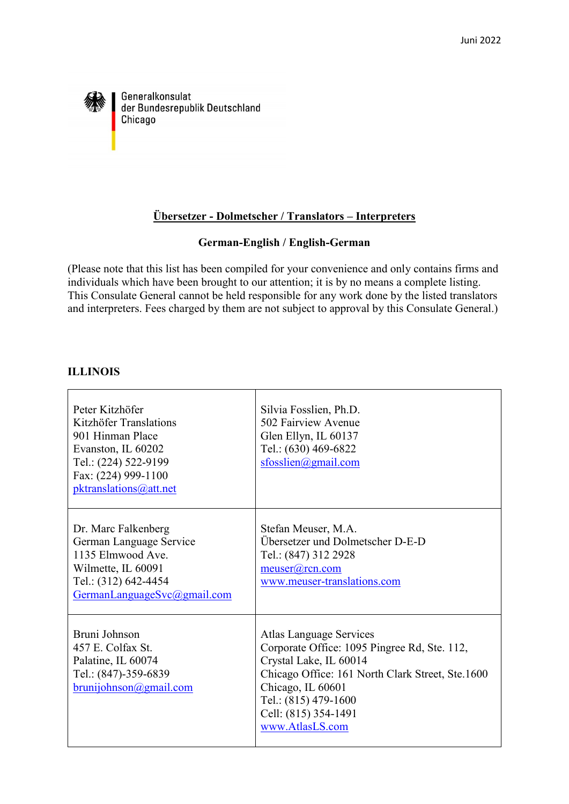

Generalkonsulat der Bundesrepublik Deutschland Chicago

## **Übersetzer - Dolmetscher / Translators – Interpreters**

### **German-English / English-German**

(Please note that this list has been compiled for your convenience and only contains firms and individuals which have been brought to our attention; it is by no means a complete listing. This Consulate General cannot be held responsible for any work done by the listed translators and interpreters. Fees charged by them are not subject to approval by this Consulate General.)

### **ILLINOIS**

| Peter Kitzhöfer<br>Kitzhöfer Translations<br>901 Hinman Place<br>Evanston, IL 60202<br>Tel.: (224) 522-9199<br>Fax: (224) 999-1100<br>pktranslations@att.net | Silvia Fosslien, Ph.D.<br>502 Fairview Avenue<br>Glen Ellyn, IL 60137<br>Tel.: (630) 469-6822<br>sfosslien@gmail.com                                                                                                                          |
|--------------------------------------------------------------------------------------------------------------------------------------------------------------|-----------------------------------------------------------------------------------------------------------------------------------------------------------------------------------------------------------------------------------------------|
| Dr. Marc Falkenberg<br>German Language Service<br>1135 Elmwood Ave.<br>Wilmette, IL 60091<br>Tel.: (312) 642-4454<br>GermanLanguageSvc@gmail.com             | Stefan Meuser, M.A.<br>Übersetzer und Dolmetscher D-E-D<br>Tel.: (847) 312 2928<br>meuser@rcn.com<br>www.meuser-translations.com                                                                                                              |
| Bruni Johnson<br>457 E. Colfax St.<br>Palatine, IL 60074<br>Tel.: (847)-359-6839<br>brunijohnson@gmail.com                                                   | Atlas Language Services<br>Corporate Office: 1095 Pingree Rd, Ste. 112,<br>Crystal Lake, IL 60014<br>Chicago Office: 161 North Clark Street, Ste.1600<br>Chicago, IL 60601<br>Tel.: (815) 479-1600<br>Cell: (815) 354-1491<br>www.AtlasLS.com |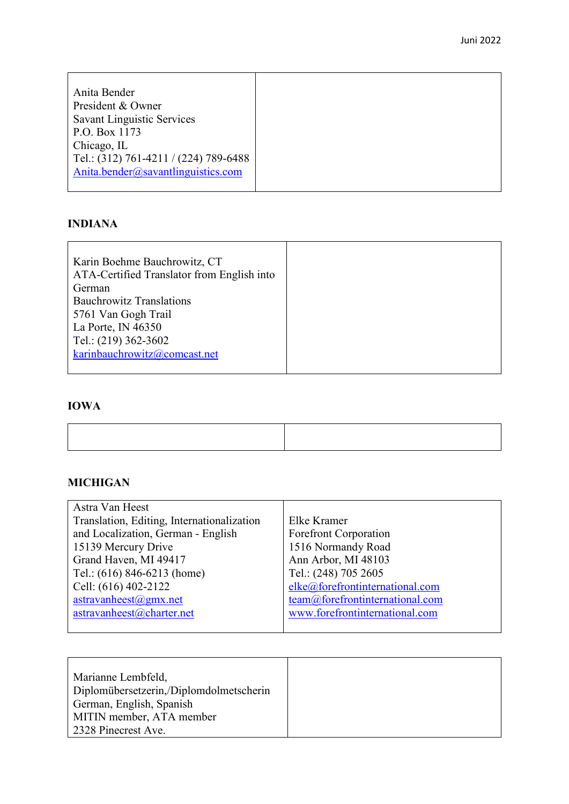| Anita Bender                          |
|---------------------------------------|
| President & Owner                     |
| <b>Savant Linguistic Services</b>     |
| P.O. Box 1173                         |
| Chicago, IL                           |
| Tel.: (312) 761-4211 / (224) 789-6488 |
| Anita.bender@savantlinguistics.com    |
|                                       |

### **INDIANA**

| Karin Boehme Bauchrowitz, CT               |  |
|--------------------------------------------|--|
| ATA-Certified Translator from English into |  |
| German                                     |  |
| <b>Bauchrowitz Translations</b>            |  |
| 5761 Van Gogh Trail                        |  |
| La Porte, IN $46350$                       |  |
| Tel.: (219) 362-3602                       |  |
| karinbauchrowitz@comcast.net               |  |
|                                            |  |

# **IOWA**

# **MICHIGAN**

| Astra Van Heest                            |                                 |
|--------------------------------------------|---------------------------------|
| Translation, Editing, Internationalization | Elke Kramer                     |
| and Localization, German - English         | <b>Forefront Corporation</b>    |
| 15139 Mercury Drive                        | 1516 Normandy Road              |
| Grand Haven, MI 49417                      | Ann Arbor, MI 48103             |
| Tel.: $(616)$ 846-6213 (home)              | Tel.: (248) 705 2605            |
| Cell: (616) 402-2122                       | elke@forefrontinternational.com |
| $astravanh\text{eest}(a)$ gmx.net          | team@forefrontinternational.com |
| astravanheest@charter.net                  | www.forefrontinternational.com  |
|                                            |                                 |

| Marianne Lembfeld,                      |
|-----------------------------------------|
| Diplomübersetzerin,/Diplomdolmetscherin |
| German, English, Spanish                |
| MITIN member, ATA member                |
| 2328 Pinecrest Ave.                     |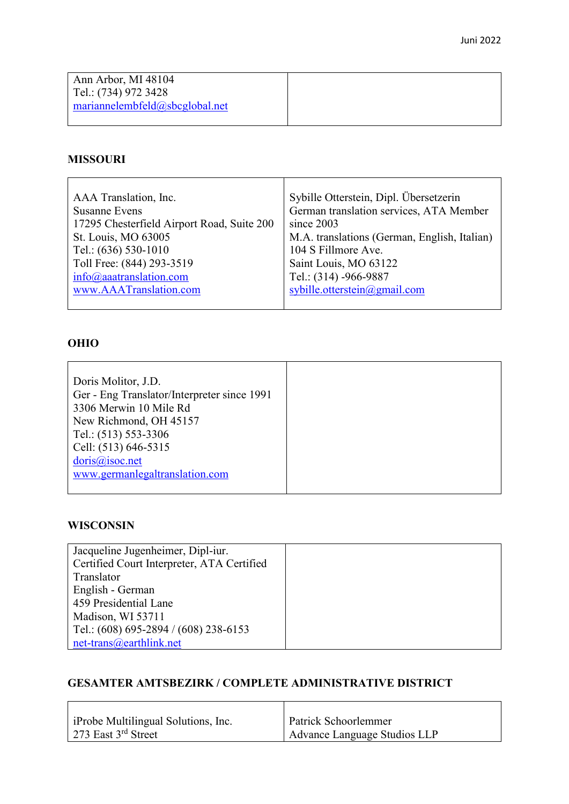| Ann Arbor, MI 48104            |  |
|--------------------------------|--|
| Tel.: (734) 972 3428           |  |
| mariannelembfeld@sbcglobal.net |  |
|                                |  |

### **MISSOURI**

| AAA Translation, Inc.                      | Sybille Otterstein, Dipl. Übersetzerin       |
|--------------------------------------------|----------------------------------------------|
| <b>Susanne Evens</b>                       | German translation services, ATA Member      |
| 17295 Chesterfield Airport Road, Suite 200 | since $2003$                                 |
| St. Louis, MO 63005                        | M.A. translations (German, English, Italian) |
| Tel.: (636) 530-1010                       | 104 S Fillmore Ave.                          |
| Toll Free: (844) 293-3519                  | Saint Louis, MO 63122                        |
| $info(\omega)$ aaatranslation.com          | Tel.: (314) -966-9887                        |
| www.AAATranslation.com                     | sybille.otterstein@gmail.com                 |
|                                            |                                              |

### **OHIO**

| Doris Molitor, J.D.                         |  |
|---------------------------------------------|--|
| Ger - Eng Translator/Interpreter since 1991 |  |
| 3306 Merwin 10 Mile Rd                      |  |
| New Richmond, OH 45157                      |  |
| Tel.: (513) 553-3306                        |  |
| Cell: (513) 646-5315                        |  |
| doris@isoc.net                              |  |
| www.germanlegaltranslation.com              |  |
|                                             |  |

### **WISCONSIN**

| Jacqueline Jugenheimer, Dipl-iur.          |  |
|--------------------------------------------|--|
| Certified Court Interpreter, ATA Certified |  |
| Translator                                 |  |
| English - German                           |  |
| 459 Presidential Lane                      |  |
| Madison, WI 53711                          |  |
| Tel.: $(608)$ 695-2894 / $(608)$ 238-6153  |  |
| $net-trans@earthlink.net$                  |  |

### **GESAMTER AMTSBEZIRK / COMPLETE ADMINISTRATIVE DISTRICT**

| iProbe Multilingual Solutions, Inc. | Patrick Schoorlemmer         |
|-------------------------------------|------------------------------|
| 273 East $3^{rd}$ Street            | Advance Language Studios LLP |